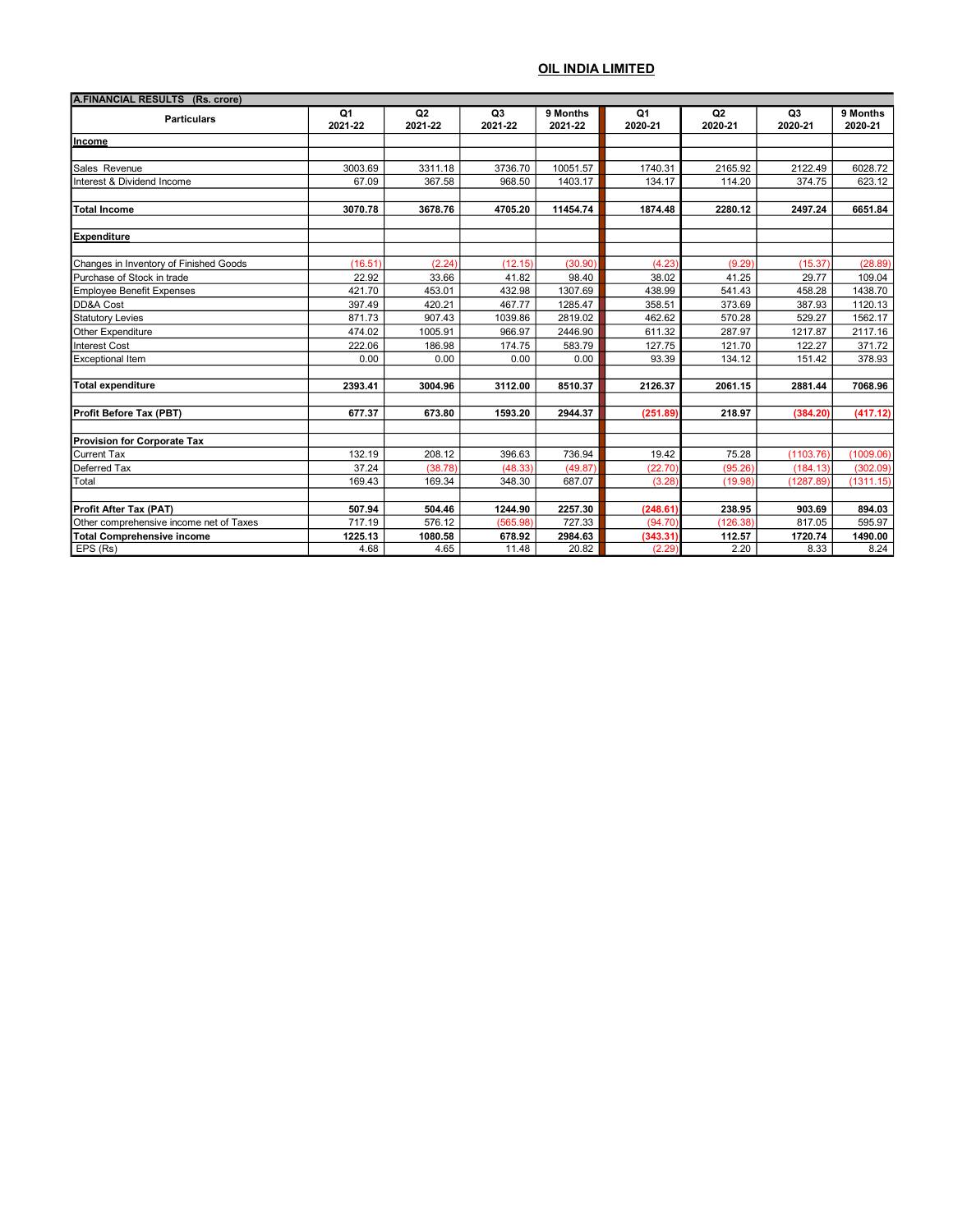| A.FINANCIAL RESULTS (Rs. crore)         |         |                |                |          |                |          |                |           |
|-----------------------------------------|---------|----------------|----------------|----------|----------------|----------|----------------|-----------|
| <b>Particulars</b>                      | Q1      | Q <sub>2</sub> | Q <sub>3</sub> | 9 Months | Q <sub>1</sub> | Q2       | Q <sub>3</sub> | 9 Months  |
|                                         | 2021-22 | 2021-22        | 2021-22        | 2021-22  | 2020-21        | 2020-21  | 2020-21        | 2020-21   |
| Income                                  |         |                |                |          |                |          |                |           |
|                                         |         |                |                |          |                |          |                |           |
| Sales Revenue                           | 3003.69 | 3311.18        | 3736.70        | 10051.57 | 1740.31        | 2165.92  | 2122.49        | 6028.72   |
| Interest & Dividend Income              | 67.09   | 367.58         | 968.50         | 1403.17  | 134.17         | 114.20   | 374.75         | 623.12    |
| Total Income                            | 3070.78 | 3678.76        | 4705.20        | 11454.74 | 1874.48        | 2280.12  | 2497.24        | 6651.84   |
| <b>Expenditure</b>                      |         |                |                |          |                |          |                |           |
| Changes in Inventory of Finished Goods  | (16.51) | (2.24)         | (12.15)        | (30.90)  | (4.23)         | (9.29)   | (15.37)        | (28.89)   |
| Purchase of Stock in trade              | 22.92   | 33.66          | 41.82          | 98.40    | 38.02          | 41.25    | 29.77          | 109.04    |
| <b>Employee Benefit Expenses</b>        | 421.70  | 453.01         | 432.98         | 1307.69  | 438.99         | 541.43   | 458.28         | 1438.70   |
| DD&A Cost                               | 397.49  | 420.21         | 467.77         | 1285.47  | 358.51         | 373.69   | 387.93         | 1120.13   |
| <b>Statutory Levies</b>                 | 871.73  | 907.43         | 1039.86        | 2819.02  | 462.62         | 570.28   | 529.27         | 1562.17   |
| Other Expenditure                       | 474.02  | 1005.91        | 966.97         | 2446.90  | 611.32         | 287.97   | 1217.87        | 2117.16   |
| Interest Cost                           | 222.06  | 186.98         | 174.75         | 583.79   | 127.75         | 121.70   | 122.27         | 371.72    |
| <b>Exceptional Item</b>                 | 0.00    | 0.00           | 0.00           | 0.00     | 93.39          | 134.12   | 151.42         | 378.93    |
| Total expenditure                       | 2393.41 | 3004.96        | 3112.00        | 8510.37  | 2126.37        | 2061.15  | 2881.44        | 7068.96   |
| Profit Before Tax (PBT)                 | 677.37  | 673.80         | 1593.20        | 2944.37  | (251.89)       | 218.97   | (384.20)       | (417.12)  |
| <b>Provision for Corporate Tax</b>      |         |                |                |          |                |          |                |           |
| <b>Current Tax</b>                      | 132.19  | 208.12         | 396.63         | 736.94   | 19.42          | 75.28    | (1103.76)      | (1009.06) |
| Deferred Tax                            | 37.24   | (38.78)        | (48.33)        | (49.87)  | (22.70)        | (95.26)  | (184.13)       | (302.09)  |
| Total                                   | 169.43  | 169.34         | 348.30         | 687.07   | (3.28)         | (19.98)  | (1287.89)      | (1311.15) |
| Profit After Tax (PAT)                  | 507.94  | 504.46         | 1244.90        | 2257.30  | (248.61)       | 238.95   | 903.69         | 894.03    |
| Other comprehensive income net of Taxes | 717.19  | 576.12         | (565.98)       | 727.33   | (94.70)        | (126.38) | 817.05         | 595.97    |
| <b>Total Comprehensive income</b>       | 1225.13 | 1080.58        | 678.92         | 2984.63  | (343.31)       | 112.57   | 1720.74        | 1490.00   |
| EPS (Rs)                                | 4.68    | 4.65           | 11.48          | 20.82    | (2.29)         | 2.20     | 8.33           | 8.24      |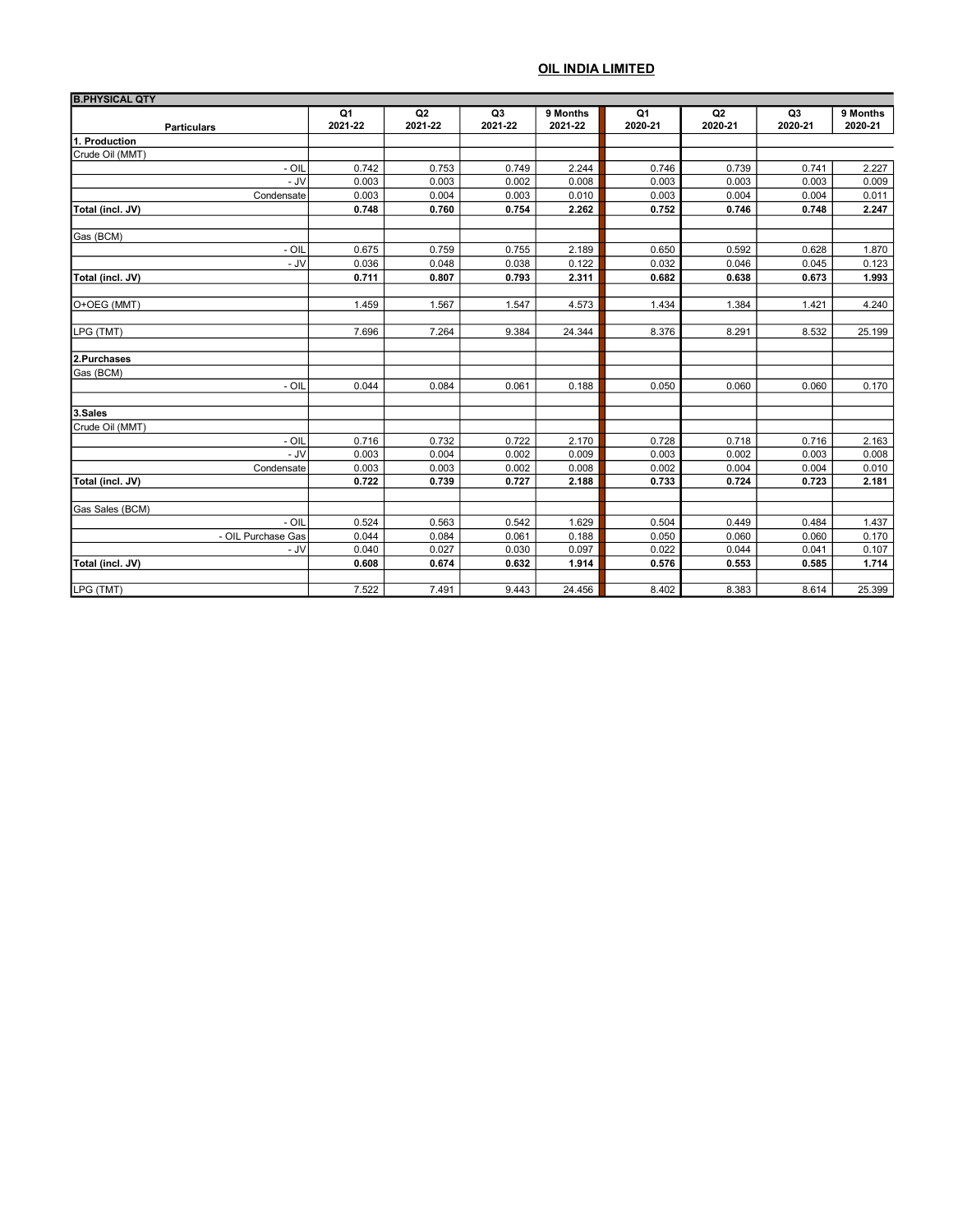| <b>B.PHYSICAL QTY</b>    |                |         |                |                |                |                |                |          |
|--------------------------|----------------|---------|----------------|----------------|----------------|----------------|----------------|----------|
|                          | Q <sub>1</sub> | Q2      | Q3             | 9 Months       | Q <sub>1</sub> | Q <sub>2</sub> | Q <sub>3</sub> | 9 Months |
| <b>Particulars</b>       | 2021-22        | 2021-22 | 2021-22        | 2021-22        | 2020-21        | 2020-21        | 2020-21        | 2020-21  |
| 11. Production           |                |         |                |                |                |                |                |          |
| <b>I</b> Crude Oil (MMT) |                |         |                |                |                |                |                |          |
| $- OIL$                  | 0.742          | 0.753   | 0.749          | 2.244          | 0.746          | 0.739          | 0.741          | 2.227    |
| - JV                     | 0.003          | 0.003   | 0.002          | 0.008          | 0.003          | 0.003          | 0.003          | 0.009    |
| Condensate               | 0.003          | 0.004   | 0.003          | 0.010          | 0.003          | 0.004          | 0.004          | 0.011    |
| Total (incl. JV)         | 0.748          | 0.760   | 0.754          | 2.262          | 0.752          | 0.746          | 0.748          | 2.247    |
|                          |                |         |                |                |                |                |                |          |
| Gas (BCM)<br>$-$ OIL     | 0.675          | 0.759   |                |                | 0.650          | 0.592          | 0.628          | 1.870    |
| - JV                     | 0.036          | 0.048   | 0.755<br>0.038 | 2.189<br>0.122 | 0.032          | 0.046          | 0.045          | 0.123    |
|                          | 0.711          |         |                |                | 0.682          | 0.638          | 0.673          |          |
| Total (incl. JV)         |                | 0.807   | 0.793          | 2.311          |                |                |                | 1.993    |
| O+OEG (MMT)              | 1.459          | 1.567   | 1.547          | 4.573          | 1.434          | 1.384          | 1.421          | 4.240    |
| LPG (TMT)                | 7.696          | 7.264   | 9.384          | 24.344         | 8.376          | 8.291          | 8.532          | 25.199   |
|                          |                |         |                |                |                |                |                |          |
| 2.Purchases              |                |         |                |                |                |                |                |          |
| Gas (BCM)                |                |         |                |                |                |                |                |          |
| - OIL                    | 0.044          | 0.084   | 0.061          | 0.188          | 0.050          | 0.060          | 0.060          | 0.170    |
| 3.Sales                  |                |         |                |                |                |                |                |          |
| Crude Oil (MMT)          |                |         |                |                |                |                |                |          |
| - OIL                    | 0.716          | 0.732   | 0.722          | 2.170          | 0.728          | 0.718          | 0.716          | 2.163    |
| - JV                     | 0.003          | 0.004   | 0.002          | 0.009          | 0.003          | 0.002          | 0.003          | 0.008    |
| Condensate               | 0.003          | 0.003   | 0.002          | 0.008          | 0.002          | 0.004          | 0.004          | 0.010    |
| Total (incl. JV)         | 0.722          | 0.739   | 0.727          | 2.188          | 0.733          | 0.724          | 0.723          | 2.181    |
|                          |                |         |                |                |                |                |                |          |
| Gas Sales (BCM)          |                |         |                |                |                |                |                |          |
| - OIL                    | 0.524          | 0.563   | 0.542          | 1.629          | 0.504          | 0.449          | 0.484          | 1.437    |
| - OIL Purchase Gas       | 0.044          | 0.084   | 0.061          | 0.188          | 0.050          | 0.060          | 0.060          | 0.170    |
| - JV                     | 0.040          | 0.027   | 0.030          | 0.097          | 0.022          | 0.044          | 0.041          | 0.107    |
| Total (incl. JV)         | 0.608          | 0.674   | 0.632          | 1.914          | 0.576          | 0.553          | 0.585          | 1.714    |
| LPG (TMT)                | 7.522          | 7.491   | 9.443          | 24.456         | 8.402          | 8.383          | 8.614          | 25.399   |
|                          |                |         |                |                |                |                |                |          |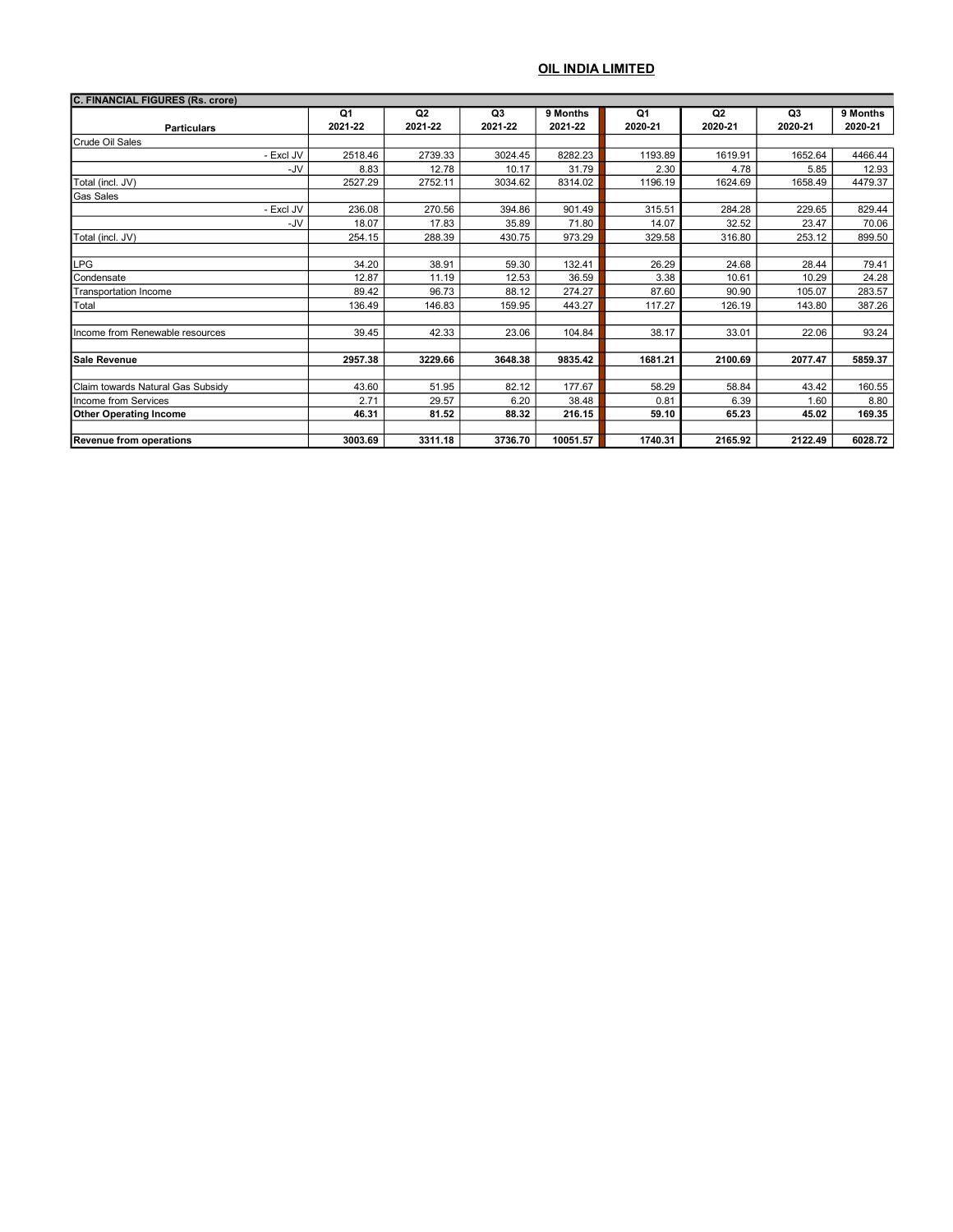| C. FINANCIAL FIGURES (Rs. crore)  |         |         |         |          |         |         |         |          |
|-----------------------------------|---------|---------|---------|----------|---------|---------|---------|----------|
|                                   | Q1      | Q2      | Q3      | 9 Months | Q1      | Q2      | Q3      | 9 Months |
| <b>Particulars</b>                | 2021-22 | 2021-22 | 2021-22 | 2021-22  | 2020-21 | 2020-21 | 2020-21 | 2020-21  |
| Crude Oil Sales                   |         |         |         |          |         |         |         |          |
| - Excl JV                         | 2518.46 | 2739.33 | 3024.45 | 8282.23  | 1193.89 | 1619.91 | 1652.64 | 4466.44  |
| -JV                               | 8.83    | 12.78   | 10.17   | 31.79    | 2.30    | 4.78    | 5.85    | 12.93    |
| Total (incl. JV)                  | 2527.29 | 2752.11 | 3034.62 | 8314.02  | 1196.19 | 1624.69 | 1658.49 | 4479.37  |
| <b>Gas Sales</b>                  |         |         |         |          |         |         |         |          |
| - Excl JV                         | 236.08  | 270.56  | 394.86  | 901.49   | 315.51  | 284.28  | 229.65  | 829.44   |
| -JV                               | 18.07   | 17.83   | 35.89   | 71.80    | 14.07   | 32.52   | 23.47   | 70.06    |
| Total (incl. JV)                  | 254.15  | 288.39  | 430.75  | 973.29   | 329.58  | 316.80  | 253.12  | 899.50   |
|                                   |         |         |         |          |         |         |         |          |
| LPG                               | 34.20   | 38.91   | 59.30   | 132.41   | 26.29   | 24.68   | 28.44   | 79.41    |
| <b>Condensate</b>                 | 12.87   | 11.19   | 12.53   | 36.59    | 3.38    | 10.61   | 10.29   | 24.28    |
| Transportation Income             | 89.42   | 96.73   | 88.12   | 274.27   | 87.60   | 90.90   | 105.07  | 283.57   |
| <b>T</b> otal                     | 136.49  | 146.83  | 159.95  | 443.27   | 117.27  | 126.19  | 143.80  | 387.26   |
|                                   |         |         |         |          |         |         |         |          |
| Income from Renewable resources   | 39.45   | 42.33   | 23.06   | 104.84   | 38.17   | 33.01   | 22.06   | 93.24    |
|                                   |         |         |         |          |         |         |         |          |
| ISale Revenue                     | 2957.38 | 3229.66 | 3648.38 | 9835.42  | 1681.21 | 2100.69 | 2077.47 | 5859.37  |
|                                   |         |         |         |          |         |         |         |          |
| Claim towards Natural Gas Subsidv | 43.60   | 51.95   | 82.12   | 177.67   | 58.29   | 58.84   | 43.42   | 160.55   |
| Income from Services              | 2.71    | 29.57   | 6.20    | 38.48    | 0.81    | 6.39    | 1.60    | 8.80     |
| <b>Other Operating Income</b>     | 46.31   | 81.52   | 88.32   | 216.15   | 59.10   | 65.23   | 45.02   | 169.35   |
|                                   |         |         |         |          |         |         |         |          |
| Revenue from operations           | 3003.69 | 3311.18 | 3736.70 | 10051.57 | 1740.31 | 2165.92 | 2122.49 | 6028.72  |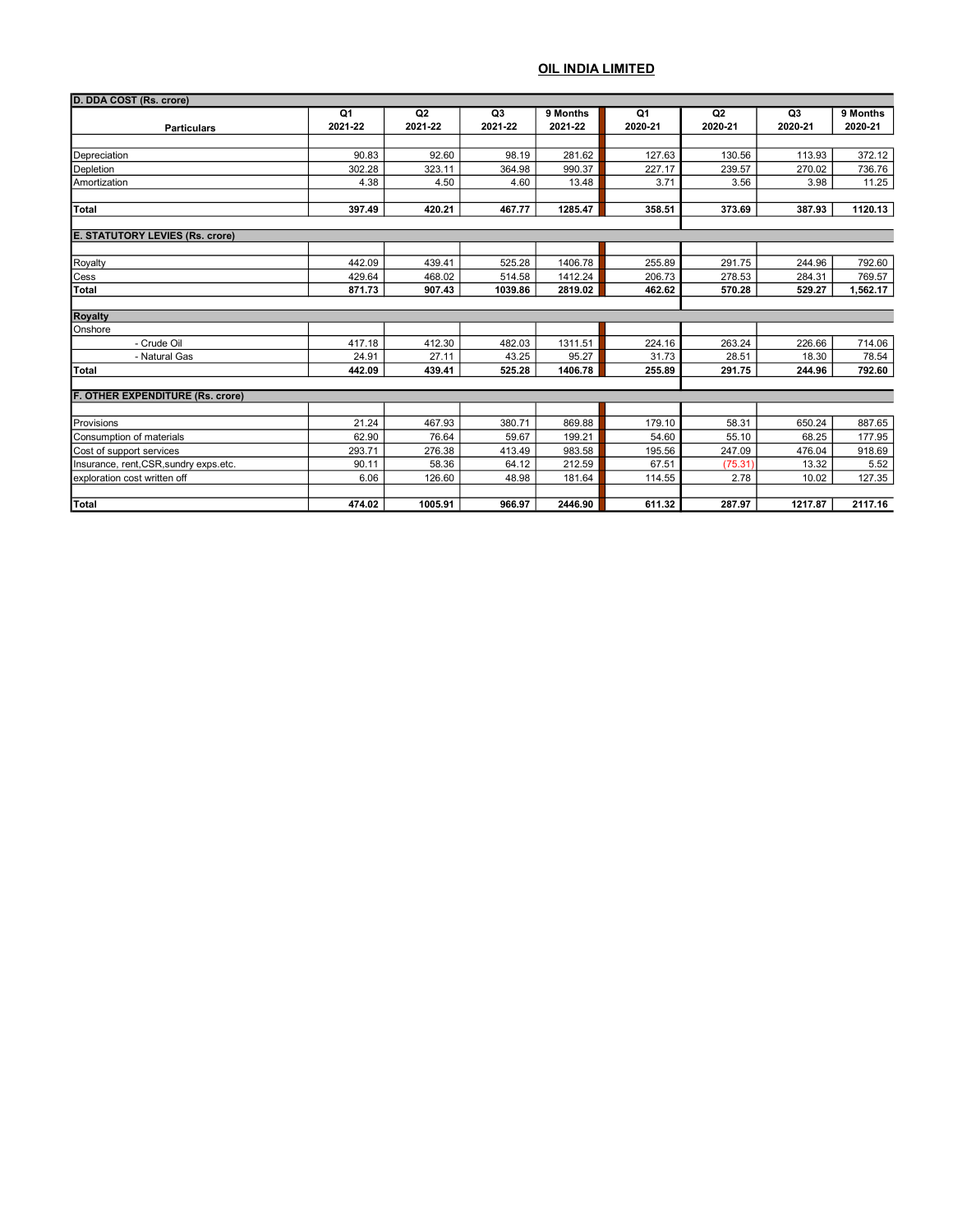| D. DDA COST (Rs. crore)                 |               |               |                           |                     |                           |                           |               |                     |
|-----------------------------------------|---------------|---------------|---------------------------|---------------------|---------------------------|---------------------------|---------------|---------------------|
| <b>Particulars</b>                      | Q1<br>2021-22 | Q2<br>2021-22 | Q <sub>3</sub><br>2021-22 | 9 Months<br>2021-22 | Q <sub>1</sub><br>2020-21 | Q <sub>2</sub><br>2020-21 | Q3<br>2020-21 | 9 Months<br>2020-21 |
|                                         |               |               |                           |                     |                           |                           |               |                     |
| Depreciation                            | 90.83         | 92.60         | 98.19                     | 281.62              | 127.63                    | 130.56                    | 113.93        | 372.12              |
| Depletion                               | 302.28        | 323.11        | 364.98                    | 990.37              | 227.17                    | 239.57                    | 270.02        | 736.76              |
| Amortization                            | 4.38          | 4.50          | 4.60                      | 13.48               | 3.71                      | 3.56                      | 3.98          | 11.25               |
| <b>Total</b>                            | 397.49        | 420.21        | 467.77                    | 1285.47             | 358.51                    | 373.69                    | 387.93        | 1120.13             |
|                                         |               |               |                           |                     |                           |                           |               |                     |
| <b>E. STATUTORY LEVIES (Rs. crore)</b>  |               |               |                           |                     |                           |                           |               |                     |
|                                         |               |               |                           |                     |                           |                           |               |                     |
| Royalty                                 | 442.09        | 439.41        | 525.28                    | 1406.78             | 255.89                    | 291.75                    | 244.96        | 792.60              |
| Cess                                    | 429.64        | 468.02        | 514.58                    | 1412.24             | 206.73                    | 278.53                    | 284.31        | 769.57              |
| <b>Total</b>                            | 871.73        | 907.43        | 1039.86                   | 2819.02             | 462.62                    | 570.28                    | 529.27        | 1,562.17            |
| <b>Royalty</b>                          |               |               |                           |                     |                           |                           |               |                     |
| Onshore                                 |               |               |                           |                     |                           |                           |               |                     |
| - Crude Oil                             | 417.18        | 412.30        | 482.03                    | 1311.51             | 224.16                    | 263.24                    | 226.66        | 714.06              |
| - Natural Gas                           | 24.91         | 27.11         | 43.25                     | 95.27               | 31.73                     | 28.51                     | 18.30         | 78.54               |
| <b>Total</b>                            | 442.09        | 439.41        | 525.28                    | 1406.78             | 255.89                    | 291.75                    | 244.96        | 792.60              |
|                                         |               |               |                           |                     |                           |                           |               |                     |
| <b>F. OTHER EXPENDITURE (Rs. crore)</b> |               |               |                           |                     |                           |                           |               |                     |
| Provisions                              | 21.24         | 467.93        | 380.71                    | 869.88              | 179.10                    | 58.31                     | 650.24        | 887.65              |
| Consumption of materials                | 62.90         | 76.64         | 59.67                     | 199.21              | 54.60                     | 55.10                     | 68.25         | 177.95              |
| Cost of support services                | 293.71        | 276.38        | 413.49                    | 983.58              | 195.56                    | 247.09                    | 476.04        | 918.69              |
| Insurance, rent, CSR, sundry exps.etc.  | 90.11         | 58.36         | 64.12                     | 212.59              | 67.51                     | (75.31)                   | 13.32         | 5.52                |
| exploration cost written off            | 6.06          | 126.60        | 48.98                     | 181.64              | 114.55                    | 2.78                      | 10.02         | 127.35              |
|                                         |               |               |                           |                     |                           |                           |               |                     |
| Total                                   | 474.02        | 1005.91       | 966.97                    | 2446.90             | 611.32                    | 287.97                    | 1217.87       | 2117.16             |